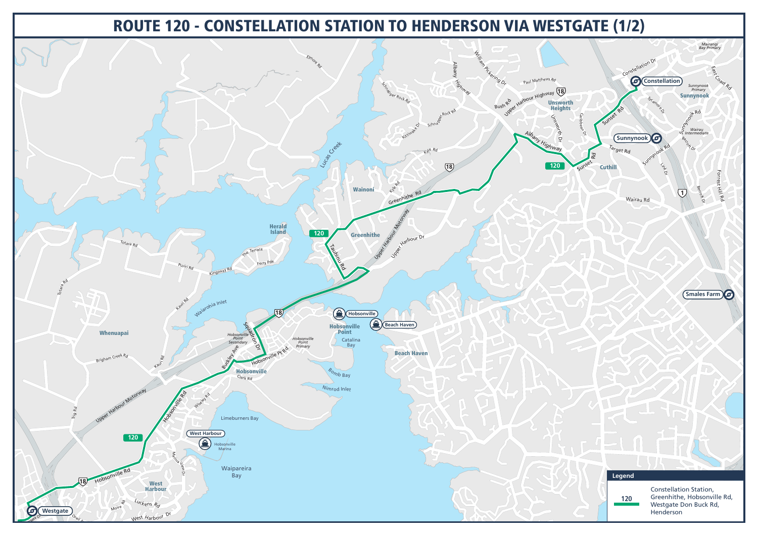## ROUTE 120 - CONSTELLATION STATION TO HENDERSON VIA WESTGATE (1/2)